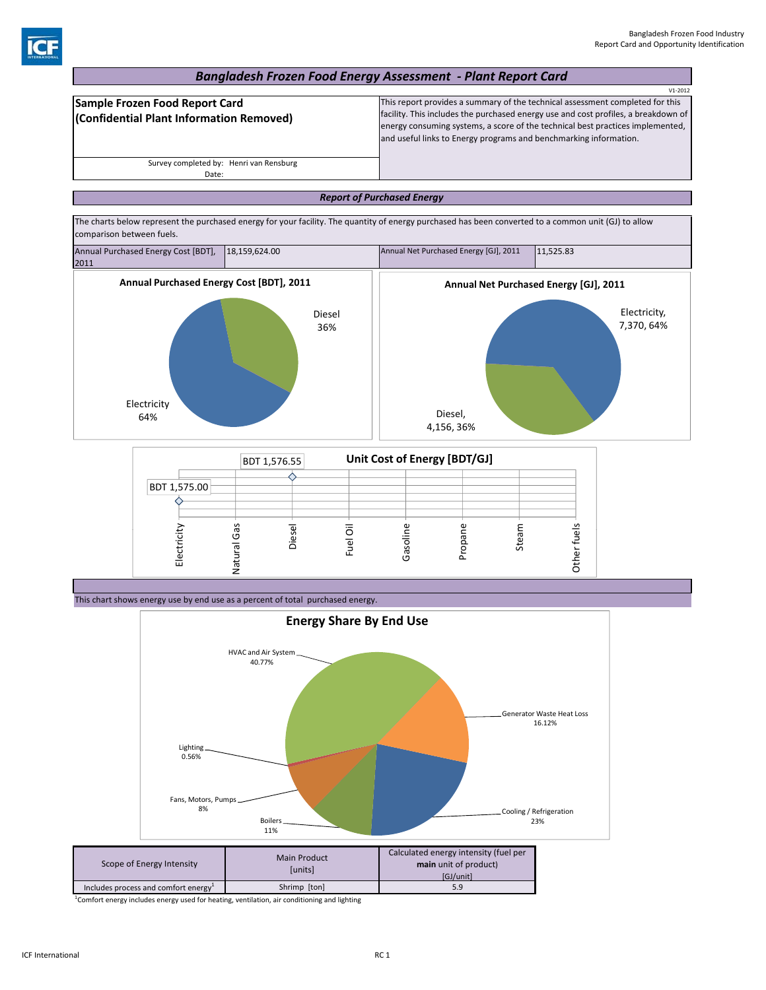## *Bangladesh Frozen Food Energy Assessment ‐ Plant Report Card*

|                                                                            | $V1 - 2012$                                                                                                                                                                                                                                                                                                                |
|----------------------------------------------------------------------------|----------------------------------------------------------------------------------------------------------------------------------------------------------------------------------------------------------------------------------------------------------------------------------------------------------------------------|
| Sample Frozen Food Report Card<br>(Confidential Plant Information Removed) | This report provides a summary of the technical assessment completed for this<br>facility. This includes the purchased energy use and cost profiles, a breakdown of<br>energy consuming systems, a score of the technical best practices implemented,<br>and useful links to Energy programs and benchmarking information. |
| Survey completed by: Henri van Rensburg                                    |                                                                                                                                                                                                                                                                                                                            |
| Date:                                                                      |                                                                                                                                                                                                                                                                                                                            |

## *Report of Purchased Energy*

The charts below represent the purchased energy for your facility. The quantity of energy purchased has been converted to a common unit (GJ) to allow comparison between fuels.



|                     | BDT 1,576.55       |       | Unit Cost of Energy [BDT/GJ] |      |         |      |              |  |
|---------------------|--------------------|-------|------------------------------|------|---------|------|--------------|--|
| <b>BDT 1,575.00</b> |                    |       |                              |      |         |      |              |  |
| Electricit          | S<br>৻ত<br>(ŋ<br>ᢛ | Diese | Fuel                         | Gaso | pa<br>≏ | Stea | S<br>᠊᠗<br>Ξ |  |

This chart shows energy use by end use as a percent of total purchased energy.



<sup>1</sup>Comfort energy includes energy used for heating, ventilation, air conditioning and lighting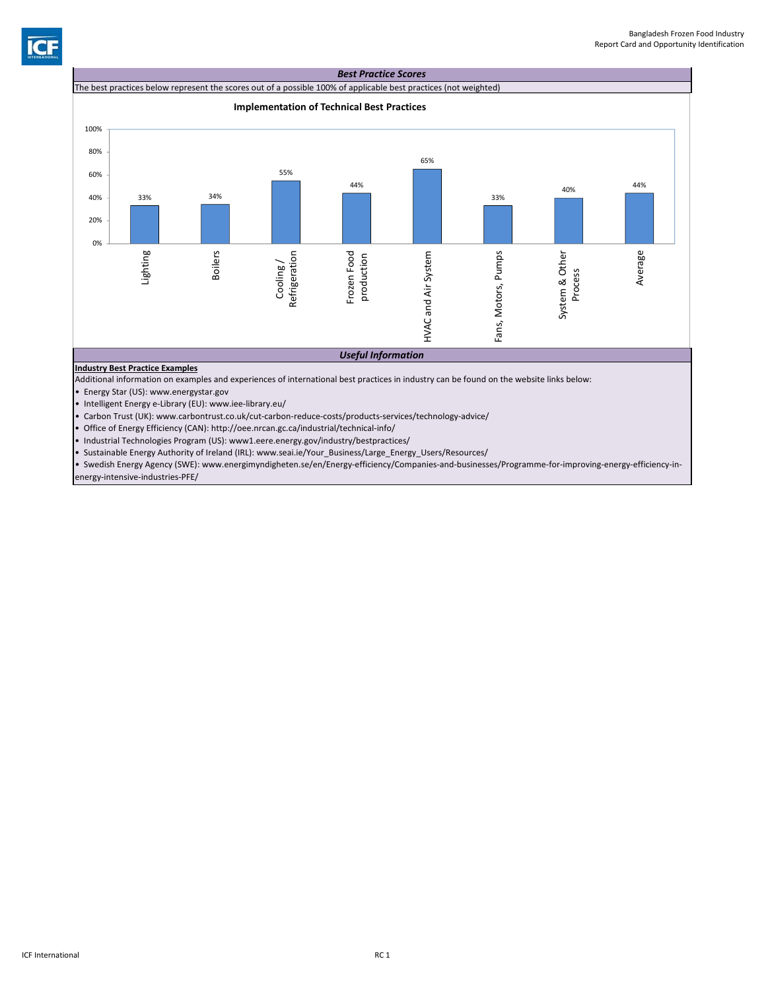



• Industrial Technologies Program (US): www1.eere.energy.gov/industry/bestpractices/

• Sustainable Energy Authority of Ireland (IRL): www.seai.ie/Your\_Business/Large\_Energy\_Users/Resources/

• Swedish Energy Agency (SWE): www.energimyndigheten.se/en/Energy‐efficiency/Companies‐and‐businesses/Programme‐for‐improving‐energy‐efficiency‐in‐ energy‐intensive‐industries‐PFE/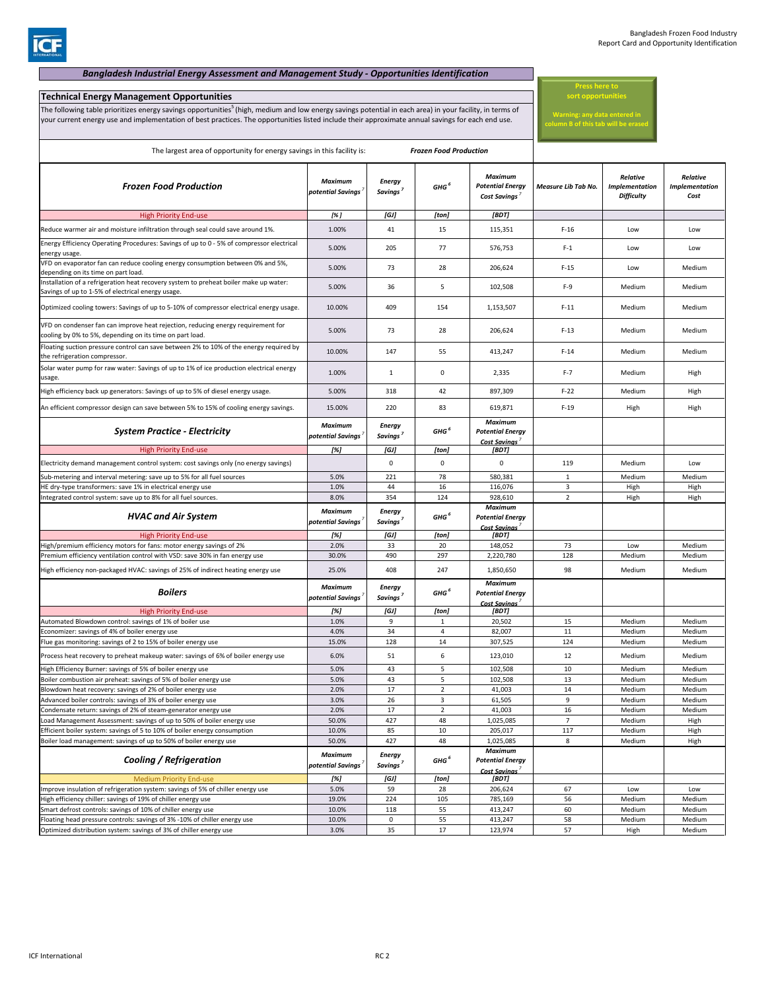## *Bangladesh Industrial Energy Assessment and Management Study ‐ Opportunities Identification* **Technical Energy Management Opportunities** The following table prioritizes energy savings opportunities<sup>5</sup> (high, medium and low energy savings potential in each area) in your facility, in terms of your current energy use and implementation of best practices. The opportunities listed include their approximate annual savings for each end use. The largest area of opportunity for energy savings in this facility is: *Frozen Food Production* **Press here to sort opportunities Warning: any data entered in column B of this tab will be erased**

| <b>Frozen Food Production</b>                                                                                                                      | Maximum<br>potential Savings        | <b>Energy</b><br>Savings <sup>'</sup> | GHG <sup>6</sup> | <b>Maximum</b><br><b>Potential Energy</b><br>Cost Savings              | Measure Lib Tab No. | Relative<br><b>Implementation</b><br><b>Difficulty</b> | Relative<br><b>Implementation</b><br>Cost |
|----------------------------------------------------------------------------------------------------------------------------------------------------|-------------------------------------|---------------------------------------|------------------|------------------------------------------------------------------------|---------------------|--------------------------------------------------------|-------------------------------------------|
| <b>High Priority End-use</b>                                                                                                                       | [%]                                 | [GJ]                                  | [ton]            | [BDT]                                                                  |                     |                                                        |                                           |
| Reduce warmer air and moisture infiltration through seal could save around 1%.                                                                     | 1.00%                               | 41                                    | 15               | 115,351                                                                | $F-16$              | Low                                                    | Low                                       |
| Energy Efficiency Operating Procedures: Savings of up to 0 - 5% of compressor electrical<br>energy usage.                                          | 5.00%                               | 205                                   | 77               | 576,753                                                                | $F-1$               | Low                                                    | Low                                       |
| VFD on evaporator fan can reduce cooling energy consumption between 0% and 5%,<br>depending on its time on part load.                              | 5.00%                               | 73                                    | 28               | 206,624                                                                | $F-15$              | Low                                                    | Medium                                    |
| nstallation of a refrigeration heat recovery system to preheat boiler make up water:<br>Savings of up to 1-5% of electrical energy usage.          | 5.00%                               | 36                                    | 5                | 102,508                                                                | $F-9$               | Medium                                                 | Medium                                    |
| Optimized cooling towers: Savings of up to 5-10% of compressor electrical energy usage.                                                            | 10.00%                              | 409                                   | 154              | 1,153,507                                                              | $F-11$              | Medium                                                 | Medium                                    |
| VFD on condenser fan can improve heat rejection, reducing energy requirement for<br>cooling by 0% to 5%, depending on its time on part load.       | 5.00%                               | 73                                    | 28               | 206,624                                                                | $F-13$              | Medium                                                 | Medium                                    |
| Floating suction pressure control can save between 2% to 10% of the energy required by<br>the refrigeration compressor.                            | 10.00%                              | 147                                   | 55               | 413,247                                                                | $F-14$              | Medium                                                 | Medium                                    |
| Solar water pump for raw water: Savings of up to 1% of ice production electrical energy<br>usage.                                                  | 1.00%                               | $\mathbf{1}$                          | 0                | 2,335                                                                  | $F - 7$             | Medium                                                 | High                                      |
| High efficiency back up generators: Savings of up to 5% of diesel energy usage.                                                                    | 5.00%                               | 318                                   | 42               | 897,309                                                                | $F-22$              | Medium                                                 | High                                      |
| An efficient compressor design can save between 5% to 15% of cooling energy savings.                                                               | 15.00%                              | 220                                   | 83               | 619,871                                                                | $F-19$              | High                                                   | High                                      |
| <b>System Practice - Electricity</b>                                                                                                               | <b>Maximum</b><br>potential Savings | <b>Energy</b><br>Savings <sup>7</sup> | GHG <sup>6</sup> | <b>Maximum</b><br><b>Potential Energy</b><br><b>Cost Savinas</b>       |                     |                                                        |                                           |
| <b>High Priority End-use</b>                                                                                                                       | [%]                                 | [GJ]                                  | [ton]            | [BDT]                                                                  |                     |                                                        |                                           |
| Electricity demand management control system: cost savings only (no energy savings)                                                                |                                     | $\mathbf 0$                           | $\mathbf 0$      | 0                                                                      | 119                 | Medium                                                 | Low                                       |
| Sub-metering and interval metering: save up to 5% for all fuel sources                                                                             | 5.0%                                | 221                                   | 78               | 580,381                                                                | $\mathbf{1}$        | Medium                                                 | Medium                                    |
| IE dry-type transformers: save 1% in electrical energy use                                                                                         | 1.0%                                | 44                                    | 16               | 116,076                                                                | $\overline{3}$      | High                                                   | High                                      |
| ntegrated control system: save up to 8% for all fuel sources.                                                                                      | 8.0%                                | 354                                   | 124              | 928,610                                                                | $\overline{2}$      | High                                                   | High                                      |
| <b>HVAC and Air System</b>                                                                                                                         | <b>Maximum</b><br>potential Savings | <b>Energy</b><br>Savings <sup>7</sup> | GHG <sup>6</sup> | <b>Maximum</b><br><b>Potential Energy</b><br>Cost Savinas <sup>7</sup> |                     |                                                        |                                           |
| <b>High Priority End-use</b>                                                                                                                       | [%]                                 | [GJ]                                  | [ton]            | [BDT]                                                                  |                     |                                                        |                                           |
| High/premium efficiency motors for fans: motor energy savings of 2%                                                                                | 2.0%                                | 33                                    | 20               | 148,052                                                                | 73                  | Low                                                    | Medium                                    |
| Premium efficiency ventilation control with VSD: save 30% in fan energy use                                                                        | 30.0%                               | 490                                   | 297              | 2,220,780                                                              | 128                 | Medium                                                 | Medium                                    |
| High efficiency non-packaged HVAC: savings of 25% of indirect heating energy use                                                                   | 25.0%                               | 408                                   | 247              | 1,850,650                                                              | 98                  | Medium                                                 | Medium                                    |
| <b>Boilers</b>                                                                                                                                     | <b>Maximum</b><br>potential Savings | <b>Energy</b><br>Savings <sup>7</sup> | GHG <sup>6</sup> | <b>Maximum</b><br><b>Potential Energy</b><br>Cost Savinas <sup>7</sup> |                     |                                                        |                                           |
| <b>High Priority End-use</b>                                                                                                                       | [%]                                 | [GJ]                                  | [ton]            | [BDT]                                                                  |                     |                                                        |                                           |
| Automated Blowdown control: savings of 1% of boiler use                                                                                            | 1.0%                                | 9                                     | 1                | 20,502                                                                 | 15                  | Medium                                                 | Medium                                    |
| Economizer: savings of 4% of boiler energy use                                                                                                     | 4.0%                                | 34                                    | $\overline{4}$   | 82,007                                                                 | 11                  | Medium                                                 | Medium                                    |
| Flue gas monitoring: savings of 2 to 15% of boiler energy use<br>Process heat recovery to preheat makeup water: savings of 6% of boiler energy use | 15.0%<br>6.0%                       | 128<br>51                             | 14<br>6          | 307,525<br>123,010                                                     | 124<br>12           | Medium<br>Medium                                       | Medium<br>Medium                          |
|                                                                                                                                                    | 5.0%                                | 43                                    | 5                | 102,508                                                                | 10                  | Medium                                                 | Medium                                    |
| High Efficiency Burner: savings of 5% of boiler energy use<br>Boiler combustion air preheat: savings of 5% of boiler energy use                    | 5.0%                                | 43                                    | 5                | 102,508                                                                | 13                  | Medium                                                 | Medium                                    |
| Blowdown heat recovery: savings of 2% of boiler energy use                                                                                         | 2.0%                                | 17                                    | $\overline{2}$   | 41,003                                                                 | 14                  | Medium                                                 | Medium                                    |
| Advanced boiler controls: savings of 3% of boiler energy use                                                                                       | 3.0%                                | 26                                    | 3                | 61,505                                                                 | 9                   | Medium                                                 | Medium                                    |
| Condensate return: savings of 2% of steam-generator energy use                                                                                     | 2.0%                                | 17                                    | $\overline{2}$   | 41,003                                                                 | 16                  | Medium                                                 | Medium                                    |
| Load Management Assessment: savings of up to 50% of boiler energy use                                                                              | 50.0%                               | 427                                   | 48               | 1,025,085                                                              | $\overline{7}$      | Medium                                                 | High                                      |
| Efficient boiler system: savings of 5 to 10% of boiler energy consumption                                                                          | 10.0%                               | 85                                    | $10\,$           | 205,017                                                                | 117                 | Medium                                                 | High                                      |
| Boiler load management: savings of up to 50% of boiler energy use                                                                                  | 50.0%                               | 427                                   | 48               | 1,025,085                                                              | 8                   | Medium                                                 | High                                      |
| Cooling / Refrigeration                                                                                                                            | Maximum<br>potential Savings        | <b>Energy</b><br>Savings <sup>7</sup> | GHG <sup>6</sup> | <b>Maximum</b><br><b>Potential Energy</b><br>Cost Savinas <sup>7</sup> |                     |                                                        |                                           |
| <b>Medium Priority End-use</b>                                                                                                                     | [%]                                 | [GJ]                                  | [ton]            | [BDT]                                                                  |                     |                                                        |                                           |
| Improve insulation of refrigeration system: savings of 5% of chiller energy use                                                                    | 5.0%                                | 59                                    | 28               | 206,624                                                                | 67                  | Low                                                    | Low                                       |
| High efficiency chiller: savings of 19% of chiller energy use                                                                                      | 19.0%                               | 224                                   | 105              | 785,169                                                                | 56                  | Medium                                                 | Medium                                    |
| Smart defrost controls: savings of 10% of chiller energy use                                                                                       | 10.0%                               | 118                                   | 55               | 413,247                                                                | 60                  | Medium                                                 | Medium                                    |
| Floating head pressure controls: savings of 3% -10% of chiller energy use                                                                          | 10.0%                               | $\mathsf 0$                           | 55               | 413,247                                                                | 58                  | Medium                                                 | Medium                                    |
| Optimized distribution system: savings of 3% of chiller energy use                                                                                 | 3.0%                                | 35                                    | 17               | 123,974                                                                | 57                  | High                                                   | Medium                                    |